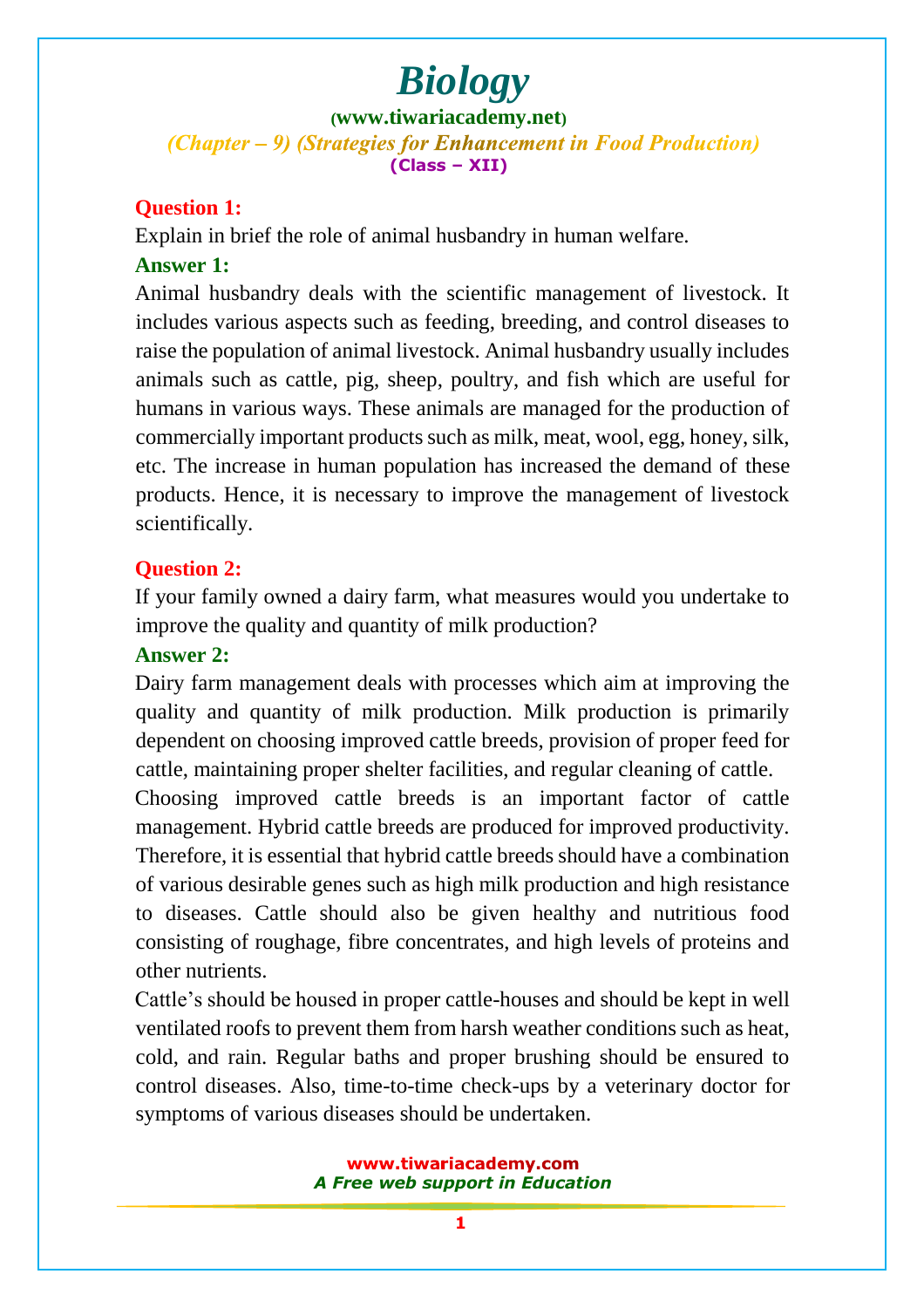**([www.tiwariacademy.net](http://www.tiwariacademy.net/))** (Chapter – 9) (Strategies for Enhancement in Food Production) **(Class – XII)**

#### **Question 1:**

Explain in brief the role of animal husbandry in human welfare. **Answer 1:**

Animal husbandry deals with the scientific management of livestock. It inclu[des various aspects such as feeding, breeding, and control diseases](www.tiwariacademy.com) to raise the population of animal livestock. Animal husbandry usually includes animals such as cattle, pig, sheep, poultry, and fish which are useful for humans in various ways. These animals are managed for the production of commercially important products such as milk, meat, wool, egg, honey, silk, etc. The increase in human population has increased the demand of these products. Hence, it is necessary to improve the management of livestock scientifically.

#### **Question 2:**

If your family owned a dairy farm, what measures would you undertake to improve the quality and quantity of milk production?

#### **Answer 2:**

Dairy farm management deals with processes which aim at improving the quality and quantity of milk production. Milk production is primarily dependent on choosing improved cattle breeds, provision of proper feed for cattle, maintaining proper shelter facilities, and regular cleaning of cattle. Choosing improved cattle breeds is an important factor of cattle management. Hybrid cattle breeds are produced for improved productivity. Therefore, it is essential that hybrid cattle breeds should have a combination of various desirable genes such as high milk production and high resistance to diseas[es. Cattle should also be given healthy and nutritiou](www.tiwariacademy.com)s food consisting of roughage, fibre concentrates, and high levels of proteins and other nutrients.

Cattle's should be housed in proper cattle-houses and should be kept in well ventilated roofs to prevent them from harsh weather conditions such as heat, cold, and rain. Regular baths and proper brushing should be ensured to control diseases. Also, time-to-time check-ups by a veterinary doctor for symptoms of various diseases should be undertaken.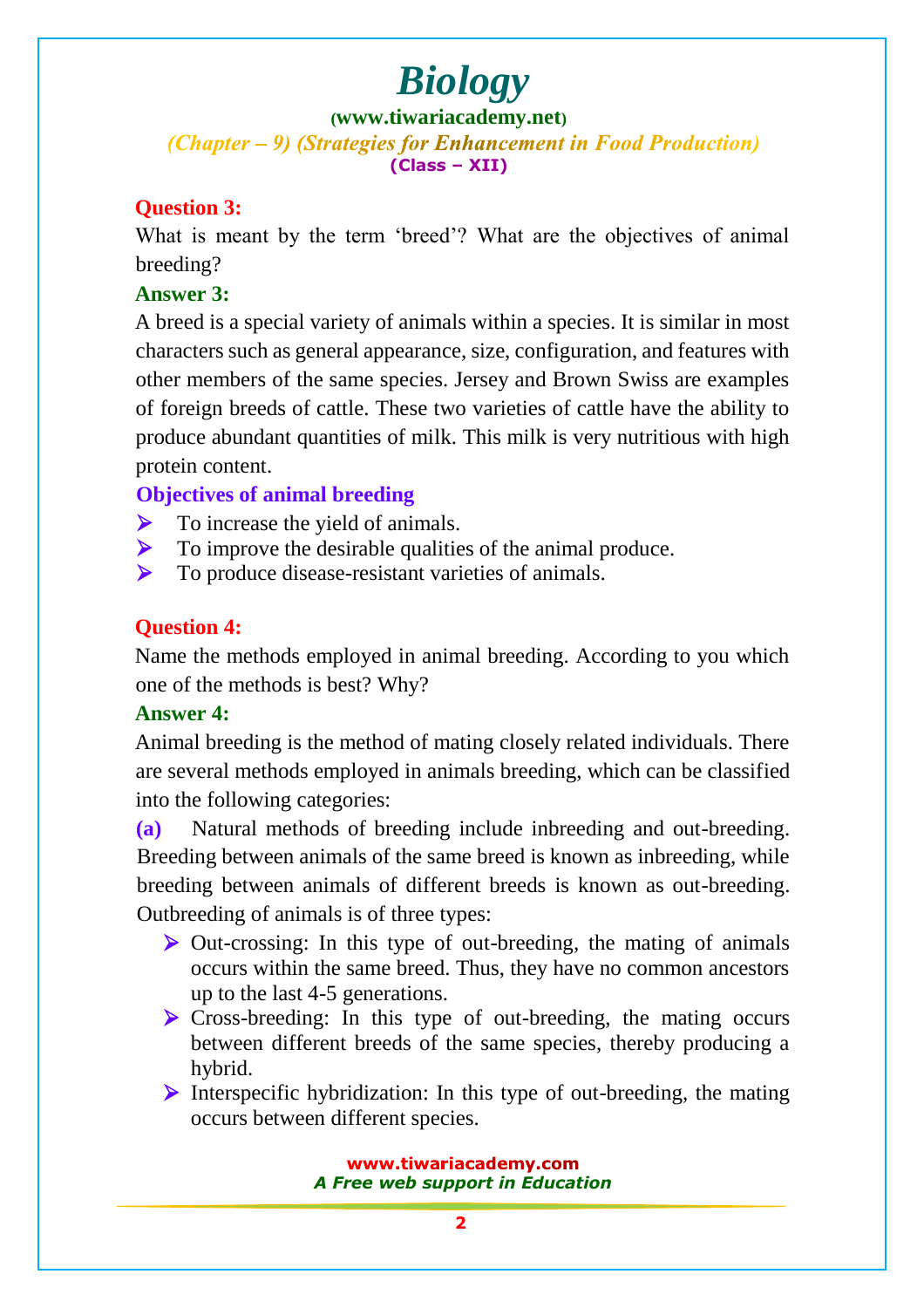#### **([www.tiwariacademy.net](http://www.tiwariacademy.net/))** (Chapter – 9) (Strategies for Enhancement in Food Production)

**(Class – XII)**

## **Question 3:**

What is meant by the term 'breed'? What are the objectives of animal breeding?

### **Answer 3:**

A breed is a special variety of animals within a species. It is similar in most characters such as general appearance, size, configuration, and features with other members of the same species. Jersey and Brown Swiss are examples of foreign breeds of cattle. These two varieties of cattle have the ability to produce abundant quantities of milk. This milk is very nutritious with high protein content.

### **Objectives of animal breeding**

- $\triangleright$  To increase the yield of animals.
- $\triangleright$  To improve the desirable qualities of the animal produce.
- $\triangleright$  To produce disease-resistant varieties of animals.

### **Question 4:**

Name the methods employed in animal breeding. According to you which one of the methods is best? Why?

### **Answer 4:**

Animal breeding is the method of mating closely related individuals. There are several methods employed in animals breeding, which can be classified into the following categories:

**(a)** Natural methods of breeding include inbreeding and out-breeding. Breeding between animals of the same breed is known as inbreeding, while breeding between animals of different breeds is known as out-breeding. Outbreeding of animals is of three types:

- $\triangleright$  Out-[crossing: In this type of out-breeding, the mating of anim](www.tiwariacademy.com)als occurs within the same breed. Thus, they have no common ancestors up to the last 4-5 generations.
- $\triangleright$  Cross-breeding: In this type of out-breeding, the mating occurs between different breeds of the same species, thereby producing a hybrid.
- Interspecific hybridization: In this type of out-breeding, the mating occurs between different species.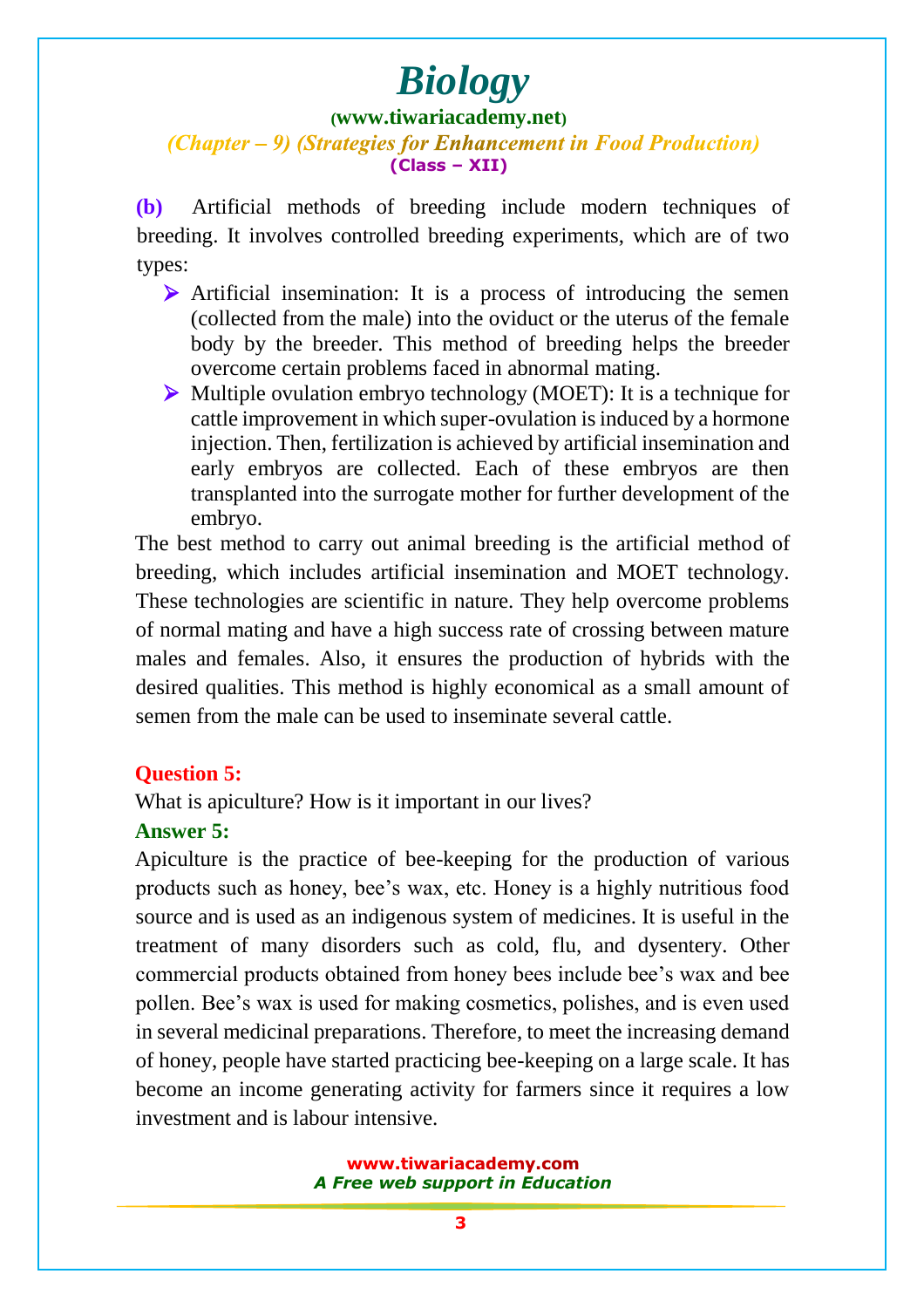#### **([www.tiwariacademy.net](http://www.tiwariacademy.net/))**

#### (Chapter – 9) (Strategies for Enhancement in Food Production) **(Class – XII)**

**(b)** Artificial methods of breeding include modern techniques of breeding. It involves controlled breeding experiments, which are of two types:

- Artificial insemination: It is a process of introducing the semen (collected from the male) into the oviduct or the uterus of the female body by the breeder. This method of breeding helps the breeder overcome certain problems faced in abnormal mating.
- $\triangleright$  Multiple ovulation embryo technology (MOET): It is a technique for cattle improvement in which super-ovulation is induced by a hormone injection[. Then, fertilization is achieved by a](www.tiwariacademy.com)rtificial insemination and early embryos are collected. Each of these embryos are then transplanted into the surrogate mother for further development of the embryo.

The best method to carry out animal breeding is the artificial method of breeding, which includes artificial insemination and MOET technology. These technologies are scientific in nature. They help overcome problems of normal mating and have a high success rate of crossing between mature males and females. Also, it ensures the production of hybrids with the desired qualities. This method is highly economical as a small amount of semen from the male can be used to inseminate several cattle.

#### **Question 5:**

What is apiculture? How is it important in our lives?

### **Answer 5:**

Apiculture is the practice of bee-keeping for the production of various products such as honey, bee's wax, etc. Honey is a highly nutritious food source and is used as an indigenous system of medicines. It is useful in the treatment o[f many disorders such as cold, flu, and dysent](www.tiwariacademy.com)ery. Other commercial products obtained from honey bees include bee's wax and bee pollen. Bee's wax is used for making cosmetics, polishes, and is even used in several medicinal preparations. Therefore, to meet the increasing demand of honey, people have started practicing bee-keeping on a large scale. It has become an income generating activity for farmers since it requires a low investment and is labour intensive.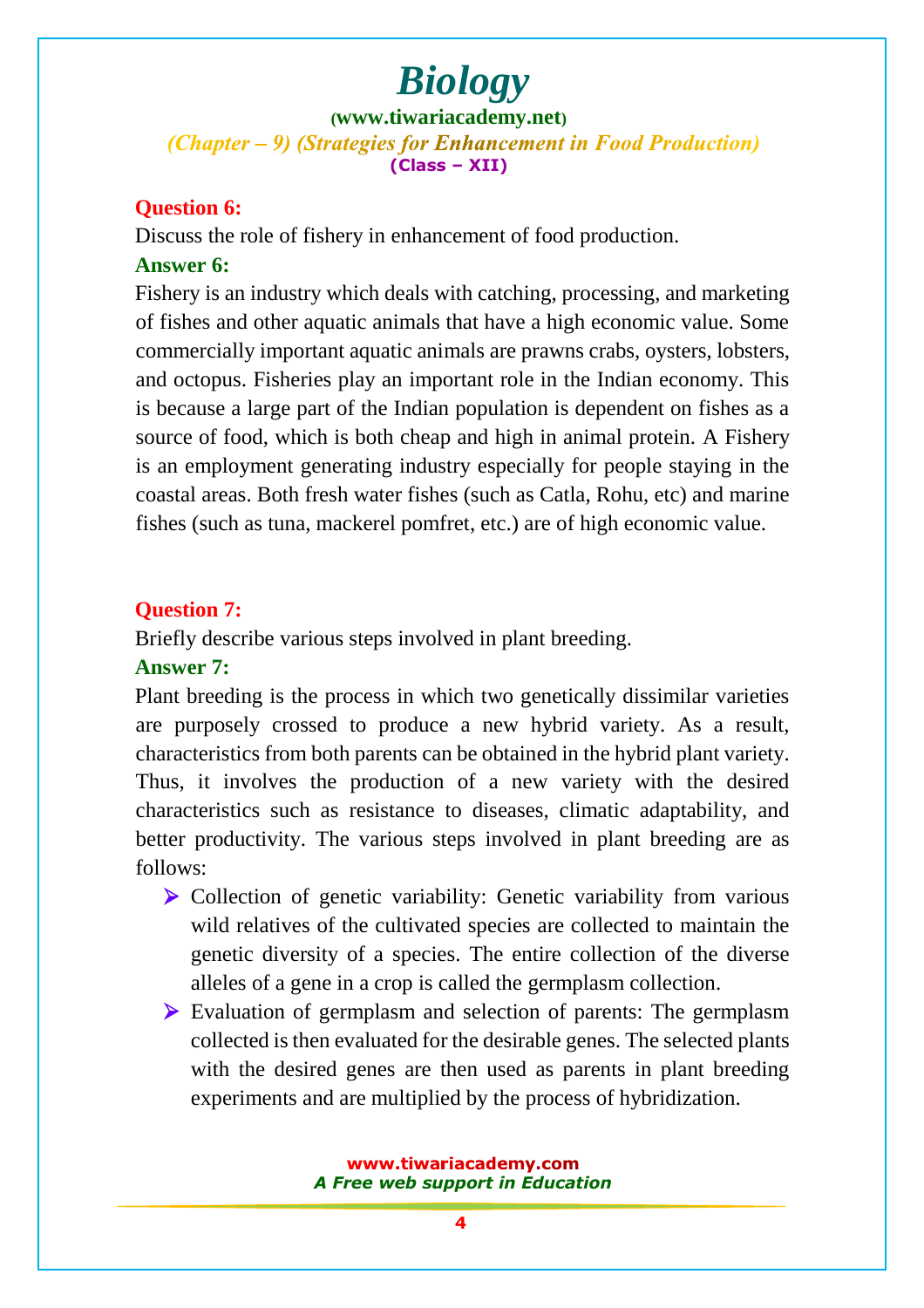**([www.tiwariacademy.net](http://www.tiwariacademy.net/))** (Chapter – 9) (Strategies for Enhancement in Food Production) **(Class – XII)**

#### **Question 6:**

Discuss the role of fishery in enhancement of food production.

#### **Answer 6:**

Fishery is an industry which deals with catching, processing, and marketing of fishes and other aquatic animals that have a high economic value. Some comm[ercially important aquatic animals are prawns crabs, oysters, lob](www.tiwariacademy.com)sters, and octopus. Fisheries play an important role in the Indian economy. This is because a large part of the Indian population is dependent on fishes as a source of food, which is both cheap and high in animal protein. A Fishery is an employment generating industry especially for people staying in the coastal areas. Both fresh water fishes (such as Catla, Rohu, etc) and marine fishes (such as tuna, mackerel pomfret, etc.) are of high economic value.

### **Question 7:**

Briefly describe various steps involved in plant breeding.

#### **Answer 7:**

Plant breeding is the process in which two genetically dissimilar varieties are purposely crossed to produce a new hybrid variety. As a result, characteristics from both parents can be obtained in the hybrid plant variety. Thus, it involves the production of a new variety with the desired characteristics such as resistance to diseases, climatic adaptability, and better productivity. The various steps involved in plant breeding are as follows:

- $\triangleright$  Collection of genetic variability: Genetic variability from various wild rela[tives of the cultivated species are collected to main](www.tiwariacademy.com)tain the genetic diversity of a species. The entire collection of the diverse alleles of a gene in a crop is called the germplasm collection.
- Evaluation of germplasm and selection of parents: The germplasm collected is then evaluated for the desirable genes. The selected plants with the desired genes are then used as parents in plant breeding experiments and are multiplied by the process of hybridization.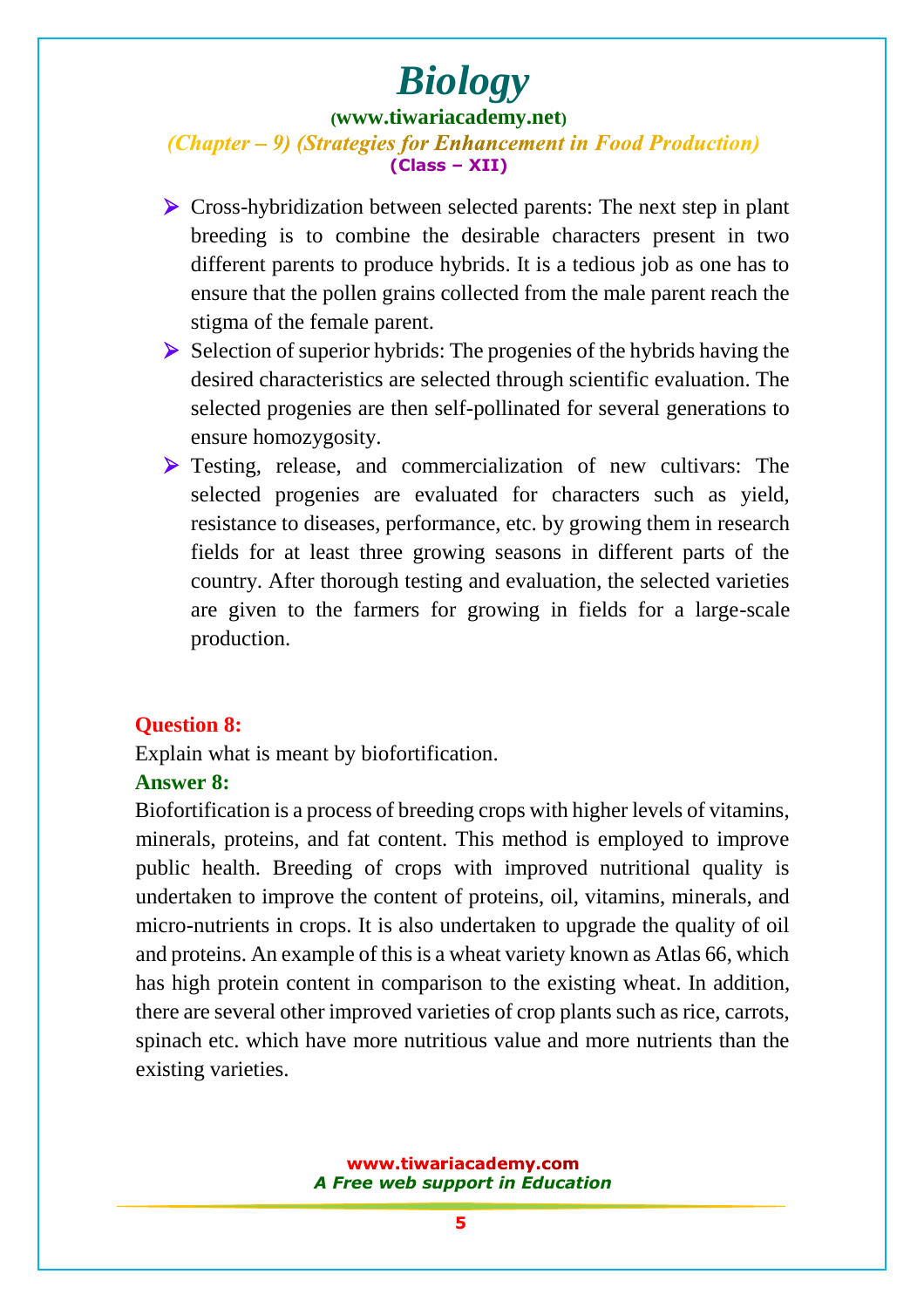#### **([www.tiwariacademy.net](http://www.tiwariacademy.net/))**

#### (Chapter – 9) (Strategies for Enhancement in Food Production) **(Class – XII)**

- Cross-hybridization between selected parents: The next step in plant breeding is to combine the desirable characters present in two different parents to produce hybrids. It is a tedious job as one has to ens[ure that the pollen grains collected from the](www.tiwariacademy.com) male parent reach the stigma of the female parent.
- $\triangleright$  Selection of superior hybrids: The progenies of the hybrids having the desired characteristics are selected through scientific evaluation. The selected progenies are then self-pollinated for several generations to ensure homozygosity.
- Example 1 Testing, release, and commercialization of new cultivars: The selected progenies are evaluated for characters such as yield, resistance to diseases, performance, etc. by growing them in research fields for at least three growing seasons in different parts of the country. After thorough testing and evaluation, the selected varieties are given to the farmers for growing in fields for a large-scale production.

#### **Question 8:**

Explain what is meant by biofortification.

#### **Answer 8:**

Biofortification is a process of breeding crops with higher levels of vitamins, minerals, proteins, and fat content. This method is employed to improve public health. Breeding of crops with improved nutritional quality is undertaken to improve the content of proteins, oil, vitamins, minerals, and micro-nutrients in [crops. It is also undertaken to upgrade the qu](www.tiwariacademy.com)ality of oil and proteins. An example of this is a wheat variety known as Atlas 66, which has high protein content in comparison to the existing wheat. In addition, there are several other improved varieties of crop plants such as rice, carrots, spinach etc. which have more nutritious value and more nutrients than the existing varieties.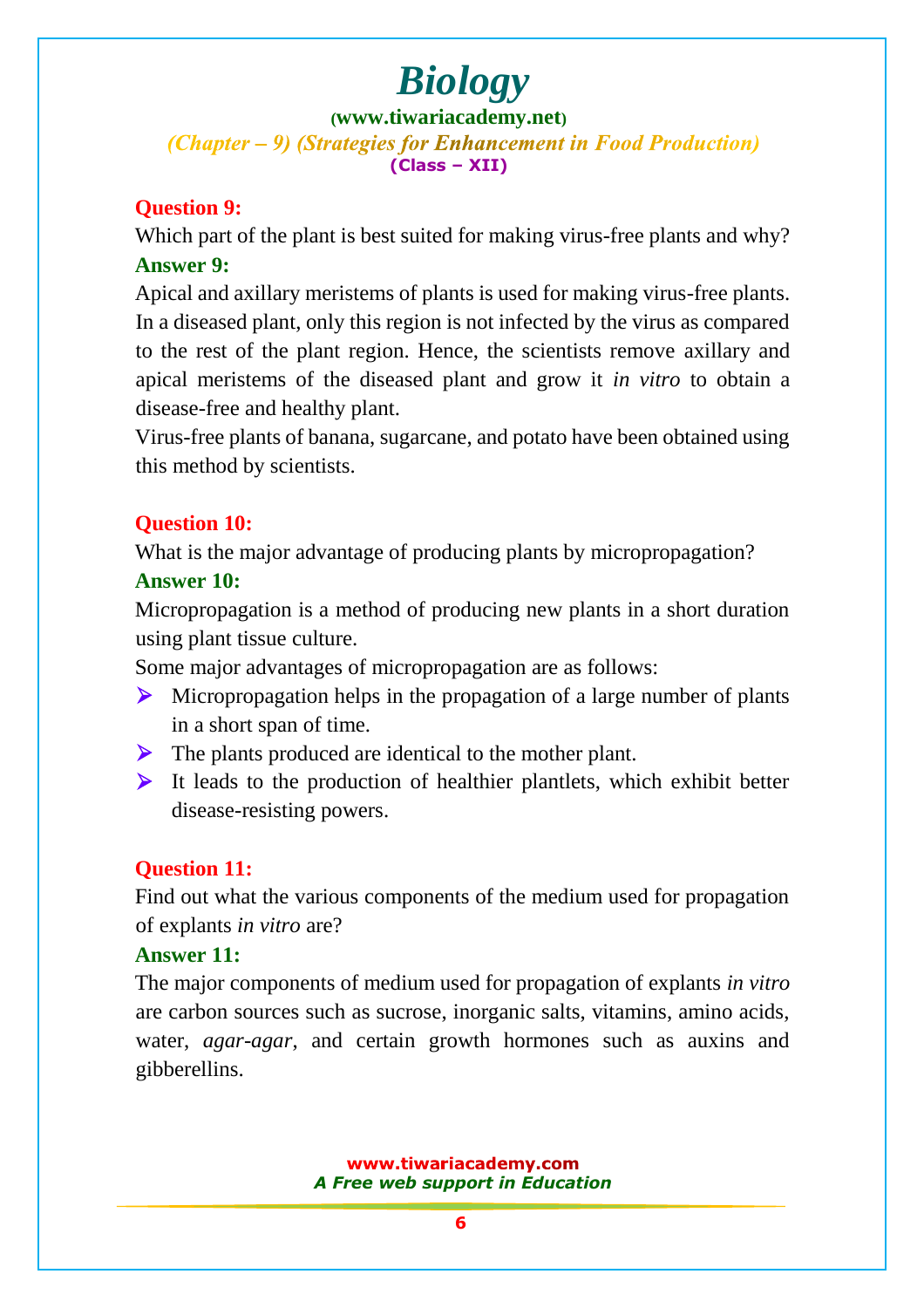**([www.tiwariacademy.net](http://www.tiwariacademy.net/))** (Chapter – 9) (Strategies for Enhancement in Food Production) **(Class – XII)**

### **Question 9:**

Which part of the plant is best suited for making virus-free plants and why? **Answer 9:**

Apical and axillary meristems of plants is used for making virus-free plants. In a disease[d plant, only this region is not infe](www.tiwariacademy.com)cted by the virus as compared to the rest of the plant region. Hence, the scientists remove axillary and apical meristems of the diseased plant and grow it *in vitro* to obtain a disease-free and healthy plant.

Virus-free plants of banana, sugarcane, and potato have been obtained using this method by scientists.

### **Question 10:**

What is the major advantage of producing plants by micropropagation?

#### **Answer 10:**

Micropropagation is a method of producing new plants in a short duration using plant tissue culture.

Some major advantages of micropropagation are as follows:

- Micropropagation helps in the propagation of a large number of plants in a short span of time.
- The plants [produced are identical to th](www.tiwariacademy.com)e mother plant.
- $\triangleright$  It leads to the production of healthier plantlets, which exhibit better disease-resisting powers.

### **Question 11:**

Find out what the various components of the medium used for propagation of explants *in vitro* are?

#### **Answer 11:**

The major components of medium used for propagation of explants *in vitro*  are carbon sources such as sucrose, inorganic salts, vitamins, amino acids, water, *agar-agar*, and certain growth hormones such as auxins and gibberellins.